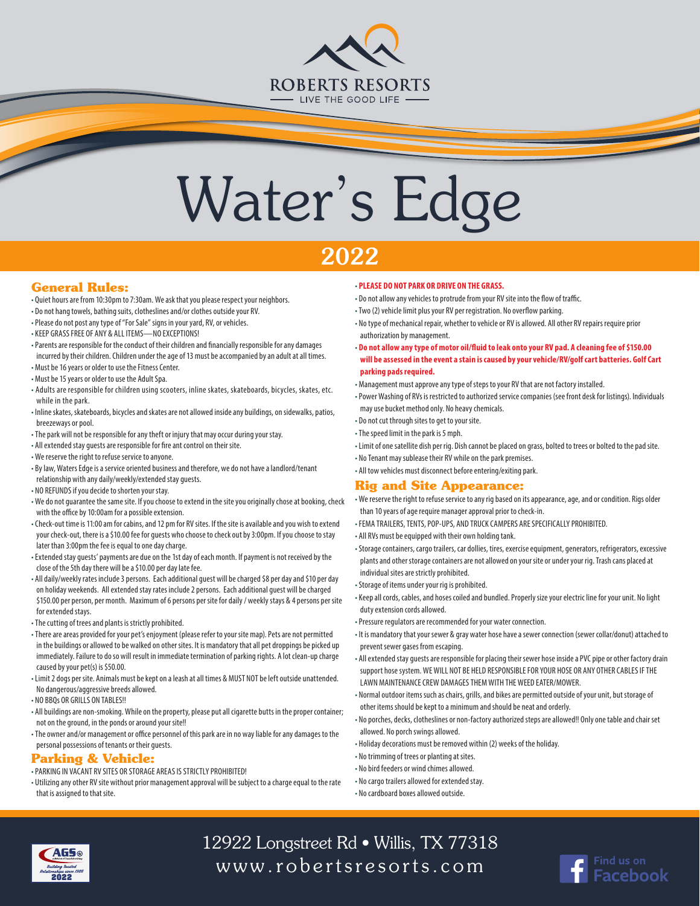

# Water's Edge

## 2022

#### **General Rules:**

- Quiet hours are from 10:30pm to 7:30am. We ask that you please respect your neighbors.
- Do not hang towels, bathing suits, clotheslines and/or clothes outside your RV.
- Please do not post any type of "For Sale" signs in your yard, RV, or vehicles.
- KEEP GRASS FREE OF ANY & ALL ITEMS—NO EXCEPTIONS!
- Parents are responsible for the conduct of their children and financially responsible for any damages incurred by their children. Children under the age of 13 must be accompanied by an adult at all times. • Must be 16 years or older to use the Fitness Center.
- Must be 15 years or older to use the Adult Spa.
- Adults are responsible for children using scooters, inline skates, skateboards, bicycles, skates, etc. while in the park.
- Inline skates, skateboards, bicycles and skates are not allowed inside any buildings, on sidewalks, patios, breezeways or pool.
- The park will not be responsible for any theft or injury that may occur during your stay.
- All extended stay guests are responsible for fire ant control on their site.
- We reserve the right to refuse service to anyone.
- By law, Waters Edge is a service oriented business and therefore, we do not have a landlord/tenant relationship with any daily/weekly/extended stay guests.
- NO REFUNDS if you decide to shorten your stay.
- We do not guarantee the same site. If you choose to extend in the site you originally chose at booking, check with the office by 10:00am for a possible extension.
- Check-out time is 11:00 am for cabins, and 12 pm for RV sites. If the site is available and you wish to extend your check-out, there is a \$10.00 fee for guests who choose to check out by 3:00pm. If you choose to stay later than 3:00pm the fee is equal to one day charge.
- Extended stay guests' payments are due on the 1st day of each month. If payment is not received by the close of the 5th day there will be a \$10.00 per day late fee.
- All daily/weekly rates include 3 persons. Each additional guest will be charged \$8 per day and \$10 per day on holiday weekends. All extended stay rates include 2 persons. Each additional guest will be charged \$150.00 per person, per month. Maximum of 6 persons per site for daily / weekly stays & 4 persons per site for extended stays.
- The cutting of trees and plants is strictly prohibited.
- There are areas provided for your pet's enjoyment (please refer to your site map). Pets are not permitted in the buildings or allowed to be walked on other sites. It is mandatory that all pet droppings be picked up immediately. Failure to do so will result in immediate termination of parking rights. A lot clean-up charge caused by your pet(s) is \$50.00.
- Limit 2 dogs per site. Animals must be kept on a leash at all times & MUST NOT be left outside unattended. No dangerous/aggressive breeds allowed.
- NO BBQs OR GRILLS ON TABLES!!
- All buildings are non-smoking. While on the property, please put all cigarette butts in the proper container; not on the ground, in the ponds or around your site!!
- The owner and/or management or office personnel of this park are in no way liable for any damages to the personal possessions of tenants or their guests.

#### **Parking & Vehicle:**

- PARKING IN VACANT RV SITES OR STORAGE AREAS IS STRICTLY PROHIBITED!
- Utilizing any other RV site without prior management approval will be subject to a charge equal to the rate that is assigned to that site.

#### • **PLEASE DO NOT PARK OR DRIVE ON THE GRASS.**

- Do not allow any vehicles to protrude from your RV site into the flow of traffic.
- Two (2) vehicle limit plus your RV per registration. No overflow parking.
- No type of mechanical repair, whether to vehicle or RV is allowed. All other RV repairs require prior authorization by management.
- **Do not allow any type of motor oil/fluid to leak onto your RV pad. A cleaning fee of \$150.00 will be assessed in the event a stain is caused by your vehicle/RV/golf cart batteries. Golf Cart parking pads required.**
- Management must approve any type of steps to your RV that are not factory installed.
- Power Washing of RVs is restricted to authorized service companies (see front desk for listings). Individuals may use bucket method only. No heavy chemicals.
- Do not cut through sites to get to your site.
- The speed limit in the park is 5 mph.
- Limit of one satellite dish per rig. Dish cannot be placed on grass, bolted to trees or bolted to the pad site.
- No Tenant may sublease their RV while on the park premises.
- All tow vehicles must disconnect before entering/exiting park.

### **Rig and Site Appearance:**

- We reserve the right to refuse service to any rig based on its appearance, age, and or condition. Rigs older than 10 years of age require manager approval prior to check-in.
- FEMA TRAILERS, TENTS, POP-UPS, AND TRUCK CAMPERS ARE SPECIFICALLY PROHIBITED.
- All RVs must be equipped with their own holding tank.
- Storage containers, cargo trailers, car dollies, tires, exercise equipment, generators, refrigerators, excessive plants and other storage containers are not allowed on your site or under your rig. Trash cans placed at individual sites are strictly prohibited.
- Storage of items under your rig is prohibited.
- Keep all cords, cables, and hoses coiled and bundled. Properly size your electric line for your unit. No light duty extension cords allowed.
- Pressure regulators are recommended for your water connection.
- It is mandatory that your sewer & gray water hose have a sewer connection (sewer collar/donut) attached to prevent sewer gases from escaping.
- All extended stay guests are responsible for placing their sewer hose inside a PVC pipe or other factory drain support hose system. WE WILL NOT BE HELD RESPONSIBLE FOR YOUR HOSE OR ANY OTHER CABLES IF THE LAWN MAINTENANCE CREW DAMAGES THEM WITH THE WEED EATER/MOWER.
- Normal outdoor items such as chairs, grills, and bikes are permitted outside of your unit, but storage of other items should be kept to a minimum and should be neat and orderly.
- No porches, decks, clotheslines or non-factory authorized steps are allowed!! Only one table and chair set allowed. No porch swings allowed.
- Holiday decorations must be removed within (2) weeks of the holiday.
- No trimming of trees or planting at sites.
- No bird feeders or wind chimes allowed.
- No cargo trailers allowed for extended stay.
- No cardboard boxes allowed outside.